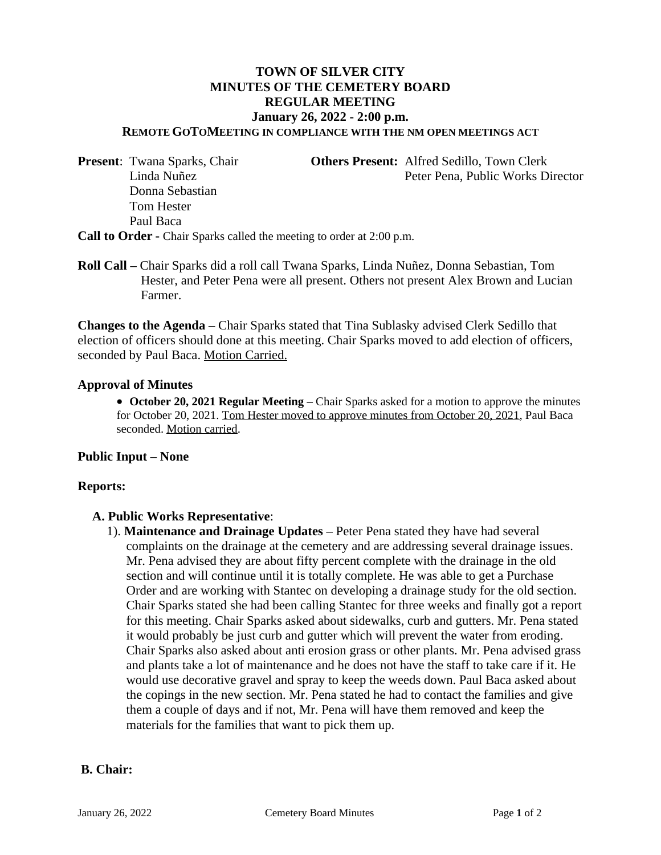# **TOWN OF SILVER CITY MINUTES OF THE CEMETERY BOARD REGULAR MEETING January 26, 2022 - 2:00 p.m.**

**REMOTE GOTOMEETING IN COMPLIANCE WITH THE NM OPEN MEETINGS ACT**

 Donna Sebastian Tom Hester Paul Baca

**Present:** Twana Sparks, Chair **Others Present:** Alfred Sedillo, Town Clerk Linda Nuñez Peter Pena, Public Works Director

**Call to Order -** Chair Sparks called the meeting to order at 2:00 p.m.

**Roll Call –** Chair Sparks did a roll call Twana Sparks, Linda Nuñez, Donna Sebastian, Tom Hester, and Peter Pena were all present. Others not present Alex Brown and Lucian Farmer.

**Changes to the Agenda –** Chair Sparks stated that Tina Sublasky advised Clerk Sedillo that election of officers should done at this meeting. Chair Sparks moved to add election of officers, seconded by Paul Baca. Motion Carried.

#### **Approval of Minutes**

**• October 20, 2021 Regular Meeting – Chair Sparks asked for a motion to approve the minutes** for October 20, 2021. Tom Hester moved to approve minutes from October 20, 2021, Paul Baca seconded. Motion carried.

### **Public Input – None**

#### **Reports:**

#### **A. Public Works Representative**:

1). **Maintenance and Drainage Updates –** Peter Pena stated they have had several complaints on the drainage at the cemetery and are addressing several drainage issues. Mr. Pena advised they are about fifty percent complete with the drainage in the old section and will continue until it is totally complete. He was able to get a Purchase Order and are working with Stantec on developing a drainage study for the old section. Chair Sparks stated she had been calling Stantec for three weeks and finally got a report for this meeting. Chair Sparks asked about sidewalks, curb and gutters. Mr. Pena stated it would probably be just curb and gutter which will prevent the water from eroding. Chair Sparks also asked about anti erosion grass or other plants. Mr. Pena advised grass and plants take a lot of maintenance and he does not have the staff to take care if it. He would use decorative gravel and spray to keep the weeds down. Paul Baca asked about the copings in the new section. Mr. Pena stated he had to contact the families and give them a couple of days and if not, Mr. Pena will have them removed and keep the materials for the families that want to pick them up.

#### **B. Chair:**